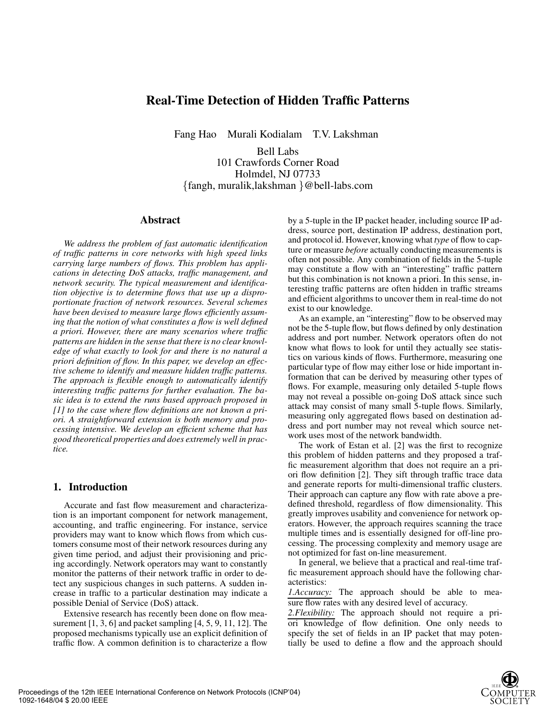## **Real-Time Detection of Hidden Traffic Patterns**

Fang Hao Murali Kodialam T.V. Lakshman

Bell Labs 101 Crawfords Corner Road Holmdel, NJ 07733 {fangh, muralik,lakshman }@bell-labs.com

## **Abstract**

*We address the problem of fast automatic identification of traffic patterns in core networks with high speed links carrying large numbers of flows. This problem has applications in detecting DoS attacks, traffic management, and network security. The typical measurement and identification objective is to determine flows that use up a disproportionate fraction of network resources. Several schemes have been devised to measure large flows efficiently assuming that the notion of what constitutes a flow is well defined a priori. However, there are many scenarios where traffic patterns are hidden in the sense that there is no clear knowledge of what exactly to look for and there is no natural a priori definition of flow. In this paper, we develop an effective scheme to identify and measure hidden traffic patterns. The approach is flexible enough to automatically identify interesting traffic patterns for further evaluation. The basic idea is to extend the runs based approach proposed in [1] to the case where flow definitions are not known a priori. A straightforward extension is both memory and processing intensive. We develop an efficient scheme that has good theoretical properties and does extremely well in practice.*

## **1. Introduction**

Accurate and fast flow measurement and characterization is an important component for network management, accounting, and traffic engineering. For instance, service providers may want to know which flows from which customers consume most of their network resources during any given time period, and adjust their provisioning and pricing accordingly. Network operators may want to constantly monitor the patterns of their network traffic in order to detect any suspicious changes in such patterns. A sudden increase in traffic to a particular destination may indicate a possible Denial of Service (DoS) attack.

Extensive research has recently been done on flow measurement  $[1, 3, 6]$  and packet sampling  $[4, 5, 9, 11, 12]$ . The proposed mechanisms typically use an explicit definition of traffic flow. A common definition is to characterize a flow

by a 5-tuple in the IP packet header, including source IP address, source port, destination IP address, destination port, and protocol id. However, knowing what *type* of flow to capture or measure *before* actually conducting measurements is often not possible. Any combination of fields in the 5-tuple may constitute a flow with an "interesting" traffic pattern but this combination is not known a priori. In this sense, interesting traffic patterns are often hidden in traffic streams and efficient algorithms to uncover them in real-time do not exist to our knowledge.

As an example, an "interesting" flow to be observed may not be the 5-tuple flow, but flows defined by only destination address and port number. Network operators often do not know what flows to look for until they actually see statistics on various kinds of flows. Furthermore, measuring one particular type of flow may either lose or hide important information that can be derived by measuring other types of flows. For example, measuring only detailed 5-tuple flows may not reveal a possible on-going DoS attack since such attack may consist of many small 5-tuple flows. Similarly, measuring only aggregated flows based on destination address and port number may not reveal which source network uses most of the network bandwidth.

The work of Estan et al. [2] was the first to recognize this problem of hidden patterns and they proposed a traffic measurement algorithm that does not require an a priori flow definition [2]. They sift through traffic trace data and generate reports for multi-dimensional traffic clusters. Their approach can capture any flow with rate above a predefined threshold, regardless of flow dimensionality. This greatly improves usability and convenience for network operators. However, the approach requires scanning the trace multiple times and is essentially designed for off-line processing. The processing complexity and memory usage are not optimized for fast on-line measurement.

In general, we believe that a practical and real-time traffic measurement approach should have the following characteristics:

*1.Accuracy:* The approach should be able to measure flow rates with any desired level of accuracy.

*2.Flexibility:* The approach should not require a priori knowledge of flow definition. One only needs to specify the set of fields in an IP packet that may potentially be used to define a flow and the approach should

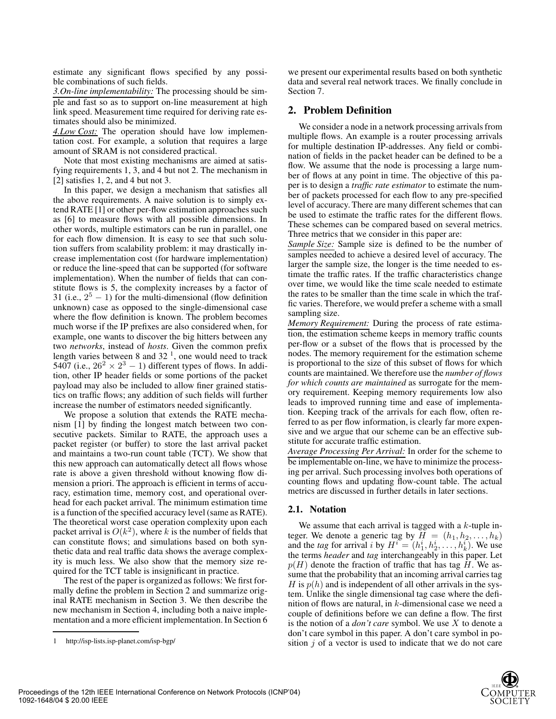estimate any significant flows specified by any possible combinations of such fields.

*3.On-line implementability:* The processing should be simple and fast so as to support on-line measurement at high link speed. Measurement time required for deriving rate estimates should also be minimized.

*4.Low Cost:* The operation should have low implementation cost. For example, a solution that requires a large amount of SRAM is not considered practical.

Note that most existing mechanisms are aimed at satisfying requirements 1, 3, and 4 but not 2. The mechanism in [2] satisfies 1, 2, and 4 but not 3.

In this paper, we design a mechanism that satisfies all the above requirements. A naive solution is to simply extend RATE [1] or other per-flow estimation approaches such as [6] to measure flows with all possible dimensions. In other words, multiple estimators can be run in parallel, one for each flow dimension. It is easy to see that such solution suffers from scalability problem: it may drastically increase implementation cost (for hardware implementation) or reduce the line-speed that can be supported (for software implementation). When the number of fields that can constitute flows is 5, the complexity increases by a factor of 31 (i.e.,  $2^5 - 1$ ) for the multi-dimensional (flow definition unknown) case as opposed to the single-dimensional case where the flow definition is known. The problem becomes much worse if the IP prefixes are also considered when, for example, one wants to discover the big hitters between any two *networks*, instead of *hosts*. Given the common prefix length varies between 8 and  $32<sup>1</sup>$ , one would need to track 5407 (i.e.,  $26^2 \times 2^3 - 1$ ) different types of flows. In addition, other IP header fields or some portions of the packet payload may also be included to allow finer grained statistics on traffic flows; any addition of such fields will further increase the number of estimators needed significantly.

We propose a solution that extends the RATE mechanism [1] by finding the longest match between two consecutive packets. Similar to RATE, the approach uses a packet register (or buffer) to store the last arrival packet and maintains a two-run count table (TCT). We show that this new approach can automatically detect all flows whose rate is above a given threshold without knowing flow dimension a priori. The approach is efficient in terms of accuracy, estimation time, memory cost, and operational overhead for each packet arrival. The minimum estimation time is a function of the specified accuracy level (same as RATE). The theoretical worst case operation complexity upon each packet arrival is  $O(k^2)$ , where k is the number of fields that can constitute flows; and simulations based on both synthetic data and real traffic data shows the average complexity is much less. We also show that the memory size required for the TCT table is insignificant in practice.

The rest of the paper is organized as follows: We first formally define the problem in Section 2 and summarize original RATE mechanism in Section 3. We then describe the new mechanism in Section 4, including both a naive implementation and a more efficient implementation. In Section 6 we present our experimental results based on both synthetic data and several real network traces. We finally conclude in Section 7.

## **2. Problem Definition**

We consider a node in a network processing arrivals from multiple flows. An example is a router processing arrivals for multiple destination IP-addresses. Any field or combination of fields in the packet header can be defined to be a flow. We assume that the node is processing a large number of flows at any point in time. The objective of this paper is to design a *traffic rate estimator* to estimate the number of packets processed for each flow to any pre-specified level of accuracy. There are many different schemes that can be used to estimate the traffic rates for the different flows. These schemes can be compared based on several metrics. Three metrics that we consider in this paper are:

*Sample Size:* Sample size is defined to be the number of samples needed to achieve a desired level of accuracy. The larger the sample size, the longer is the time needed to estimate the traffic rates. If the traffic characteristics change over time, we would like the time scale needed to estimate the rates to be smaller than the time scale in which the traffic varies. Therefore, we would prefer a scheme with a small sampling size.

*Memory Requirement:* During the process of rate estimation, the estimation scheme keeps in memory traffic counts per-flow or a subset of the flows that is processed by the nodes. The memory requirement for the estimation scheme is proportional to the size of this subset of flows for which counts are maintained. We therefore use the *number of flows for which counts are maintained* as surrogate for the memory requirement. Keeping memory requirements low also leads to improved running time and ease of implementation. Keeping track of the arrivals for each flow, often referred to as per flow information, is clearly far more expensive and we argue that our scheme can be an effective substitute for accurate traffic estimation.

*Average Processing Per Arrival:* In order for the scheme to be implementable on-line, we have to minimize the processing per arrival. Such processing involves both operations of counting flows and updating flow-count table. The actual metrics are discussed in further details in later sections.

## **2.1. Notation**

We assume that each arrival is tagged with a  $k$ -tuple integer. We denote a generic tag by  $H = (h_1, h_2, \ldots, h_k)$ and the *tag* for arrival i by  $H^i = (h_1^i, h_2^i, \ldots, h_k^i)$ . We use<br>the terms *header* and *tag* interchangeably in this paper Let the terms *header* and *tag* interchangeably in this paper. Let  $p(H)$  denote the fraction of traffic that has tag H. We assume that the probability that an incoming arrival carries tag H is  $p(h)$  and is independent of all other arrivals in the system. Unlike the single dimensional tag case where the definition of flows are natural, in k-dimensional case we need a couple of definitions before we can define a flow. The first is the notion of a *don't care* symbol. We use X to denote a don't care symbol in this paper. A don't care symbol in position  $j$  of a vector is used to indicate that we do not care



<sup>1</sup> http://isp-lists.isp-planet.com/isp-bgp/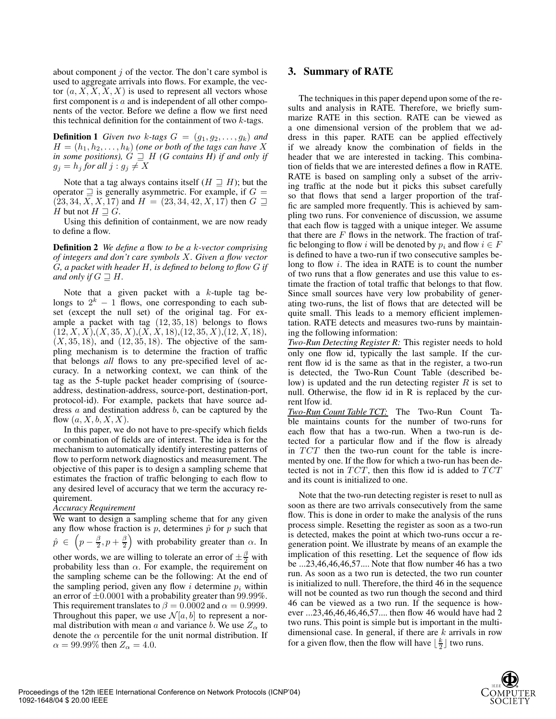about component  $j$  of the vector. The don't care symbol is used to aggregate arrivals into flows. For example, the vector  $(a, X, X, X, X)$  is used to represent all vectors whose first component is  $a$  and is independent of all other components of the vector. Before we define a flow we first need this technical definition for the containment of two  $k$ -tags.

**Definition 1** *Given two k*-tags  $G = (g_1, g_2, \ldots, g_k)$  *and*  $H = (h_1, h_2, \ldots, h_k)$  (one or both of the tags can have X in some positions).  $G \supseteq H$  (G contains H) if and only if *in some positions),*  $G \supseteq H$  *(G contains H) if and only if*  $a_i = b_i$  *for all i*  $\cdot a_i \neq X$  $g_j = h_j$  for all  $j : g_j \neq X$ 

Note that a tag always contains itself  $(H \sqsupseteq H)$ ; but the operator  $\supseteq$  is generally asymmetric. For example, if  $G =$  $(23, 34, X, X, 17)$  and  $H = (23, 34, 42, X, 17)$  then  $G \supseteq$ H but not  $H \sqsupseteq G$ .

Using this definition of containment, we are now ready to define a flow.

**Definition 2** *We define a* flow *to be a* k*-vector comprising of integers and don't care symbols* X*. Given a flow vector* G*, a packet with header* H*, is defined to belong to flow* G *if and only if*  $G \sqsupseteq H$ .

Note that a given packet with a  $k$ -tuple tag belongs to  $2^k - 1$  flows, one corresponding to each subset (except the null set) of the original tag. For example a packet with tag  $(12, 35, 18)$  belongs to flows  $(12, X, X), (X, 35, X), (X, X, 18), (12, 35, X), (12, X, 18),$  $(X, 35, 18)$ , and  $(12, 35, 18)$ . The objective of the sampling mechanism is to determine the fraction of traffic that belongs *all* flows to any pre-specified level of accuracy. In a networking context, we can think of the tag as the 5-tuple packet header comprising of (sourceaddress, destination-address, source-port, destination-port, protocol-id). For example, packets that have source address a and destination address b, can be captured by the flow  $(a, X, b, X, X)$ .

In this paper, we do not have to pre-specify which fields or combination of fields are of interest. The idea is for the mechanism to automatically identify interesting patterns of flow to perform network diagnostics and measurement. The objective of this paper is to design a sampling scheme that estimates the fraction of traffic belonging to each flow to any desired level of accuracy that we term the accuracy requirement.

## *Accuracy Requirement*

We want to design a sampling scheme that for any given any flow whose fraction is  $p$ , determines  $\hat{p}$  for  $p$  such that  $\hat{p} \in \left(p - \frac{\beta}{2}, p + \frac{\beta}{2}\right)$  with probability greater than  $\alpha$ . In other words, we are willing to tolerate an error of  $\pm \frac{\beta}{2}$  with probability less than  $\alpha$ . For example, the requirement on the sampling scheme can be the following: At the end of the sampling period, given any flow i determine  $p_i$  within an error of  $\pm 0.0001$  with a probability greater than 99.99%. This requirement translates to  $\beta = 0.0002$  and  $\alpha = 0.9999$ . Throughout this paper, we use  $\mathcal{N}[a, b]$  to represent a normal distribution with mean a and variance b. We use  $Z_{\alpha}$  to denote the  $\alpha$  percentile for the unit normal distribution. If  $\alpha = 99.99\%$  then  $Z_{\alpha} = 4.0$ .

#### **3. Summary of RATE**

The techniques in this paper depend upon some of the results and analysis in RATE. Therefore, we briefly summarize RATE in this section. RATE can be viewed as a one dimensional version of the problem that we address in this paper. RATE can be applied effectively if we already know the combination of fields in the header that we are interested in tacking. This combination of fields that we are interested defines a flow in RATE. RATE is based on sampling only a subset of the arriving traffic at the node but it picks this subset carefully so that flows that send a larger proportion of the traffic are sampled more frequently. This is achieved by sampling two runs. For convenience of discussion, we assume that each flow is tagged with a unique integer. We assume that there are  $F$  flows in the network. The fraction of traffic belonging to flow i will be denoted by  $p_i$  and flow  $i \in F$ is defined to have a two-run if two consecutive samples belong to flow i. The idea in RATE is to count the number of two runs that a flow generates and use this value to estimate the fraction of total traffic that belongs to that flow. Since small sources have very low probability of generating two-runs, the list of flows that are detected will be quite small. This leads to a memory efficient implementation. RATE detects and measures two-runs by maintaining the following information:

*Two-Run Detecting Register R:* This register needs to hold only one flow id, typically the last sample. If the current flow id is the same as that in the register, a two-run is detected, the Two-Run Count Table (described below) is updated and the run detecting register  $R$  is set to null. Otherwise, the flow id in R is replaced by the current lfow id.

*Two-Run Count Table TCT:* The Two-Run Count Table maintains counts for the number of two-runs for each flow that has a two-run. When a two-run is detected for a particular flow and if the flow is already in TCT then the two-run count for the table is incremented by one. If the flow for which a two-run has been detected is not in  $TCT$ , then this flow id is added to  $TCT$ and its count is initialized to one.

Note that the two-run detecting register is reset to null as soon as there are two arrivals consecutively from the same flow. This is done in order to make the analysis of the runs process simple. Resetting the register as soon as a two-run is detected, makes the point at which two-runs occur a regeneration point. We illustrate by means of an example the implication of this resetting. Let the sequence of flow ids be ...23,46,46,46,57.... Note that flow number 46 has a two run. As soon as a two run is detected, the two run counter is initialized to null. Therefore, the third 46 in the sequence will not be counted as two run though the second and third 46 can be viewed as a two run. If the sequence is however ...23,46,46,46,46,57.... then flow 46 would have had 2 two runs. This point is simple but is important in the multidimensional case. In general, if there are  $k$  arrivals in row for a given flow, then the flow will have  $\lfloor \frac{k}{2} \rfloor$  two runs.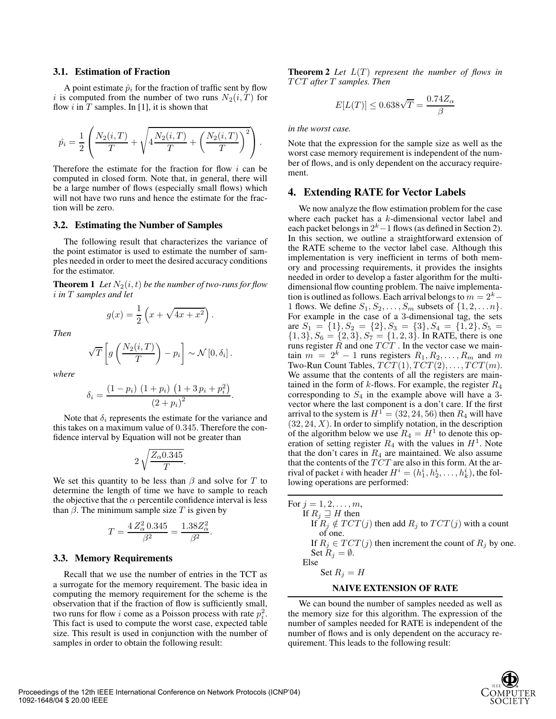#### **3.1. Estimation of Fraction**

A point estimate  $\hat{p}_i$  for the fraction of traffic sent by flow i is computed from the number of two runs  $N_2(i, T)$  for flow i in T samples. In [1], it is shown that

$$
\hat{p_i} = \frac{1}{2} \left( \frac{N_2(i,T)}{T} + \sqrt{4 \frac{N_2(i,T)}{T} + \left( \frac{N_2(i,T)}{T} \right)^2} \right).
$$

Therefore the estimate for the fraction for flow  $i$  can be computed in closed form. Note that, in general, there will be a large number of flows (especially small flows) which will not have two runs and hence the estimate for the fraction will be zero.

#### **3.2. Estimating the Number of Samples**

The following result that characterizes the variance of the point estimator is used to estimate the number of samples needed in order to meet the desired accuracy conditions for the estimator.

**Theorem 1** *Let*  $N_2(i, t)$  *be the number of two-runs for flow* i *in* T *samples and let*

$$
g(x) = \frac{1}{2} \left( x + \sqrt{4x + x^2} \right).
$$

*Then*

$$
\sqrt{T}\left[g\left(\frac{N_2(i,T)}{T}\right)-p_i\right]\sim\mathcal{N}\left[0,\delta_i\right].
$$

*where*

$$
\delta_i = \frac{(1 - p_i) (1 + p_i) (1 + 3 p_i + p_i^2)}{(2 + p_i)^2}.
$$

Note that  $\delta_i$  represents the estimate for the variance and<br>s takes on a maximum value of 0.345. Therefore the conthis takes on a maximum value of <sup>0</sup>.345. Therefore the confidence interval by Equation will not be greater than

$$
2\sqrt{\frac{Z_{\alpha}0.345}{T}}.
$$

We set this quantity to be less than  $\beta$  and solve for T to determine the length of time we have to sample to reach determine the length of time we have to sample to reach the objective that the  $\alpha$  percentile confidence interval is less than  $\beta$ . The minimum sample size T is given by

$$
T = \frac{4 Z_{\alpha}^2 0.345}{\beta^2} = \frac{1.38 Z_{\alpha}^2}{\beta^2}.
$$

## **3.3. Memory Requirements**

Recall that we use the number of entries in the TCT as a surrogate for the memory requirement. The basic idea in computing the memory requirement for the scheme is the observation that if the fraction of flow is sufficiently small, two runs for flow i come as a Poisson process with rate  $p_i^2$ .<br>This fact is used to compute the worst case, expected table This fact is used to compute the worst case, expected table size. This result is used in conjunction with the number of samples in order to obtain the following result:

**Theorem 2** *Let*  $L(T)$  *represent the number of flows in* TCT *after* T *samples. Then*

$$
E[L(T)] \le 0.638\sqrt{T} = \frac{0.74Z_{\alpha}}{\beta}
$$

*in the worst case.*

Note that the expression for the sample size as well as the worst case memory requirement is independent of the number of flows, and is only dependent on the accuracy requirement.

### **4. Extending RATE for Vector Labels**

We now analyze the flow estimation problem for the case where each packet has a k-dimensional vector label and each packet belongs in  $2<sup>k</sup> - 1$  flows (as defined in Section 2). In this section, we outline a straightforward extension of the RATE scheme to the vector label case. Although this implementation is very inefficient in terms of both memory and processing requirements, it provides the insights needed in order to develop a faster algorithm for the multidimensional flow counting problem. The naive implementation is outlined as follows. Each arrival belongs to  $m = 2<sup>k</sup>$ 1 flows. We define  $S_1, S_2, \ldots, S_m$  subsets of  $\{1, 2, \ldots n\}$ . For example in the case of a 3-dimensional tag, the sets are  $S_1 = \{1\}, S_2 = \{2\}, S_3 = \{3\}, S_4 = \{1, 2\}, S_5 =$  $\{1, 3\}, S_6 = \{2, 3\}, S_7 = \{1, 2, 3\}.$  In RATE, there is one runs register  $\overline{R}$  and one  $\overline{TCT}$ . In the vector case we maintain  $m = 2^k - 1$  runs registers  $R_1, R_2, \ldots, R_m$  and m Two-Run Count Tables,  $TCT(1), TCT(2), \ldots, TCT(m)$ . We assume that the contents of all the registers are maintained in the form of  $k$ -flows. For example, the register  $R_4$ corresponding to  $S_4$  in the example above will have a 3vector where the last component is a don't care. If the first arrival to the system is  $H^1 = (32, 24, 56)$  then  $R_4$  will have  $(32, 24, X)$ . In order to simplify notation, in the description of the algorithm below we use  $R_4 = H^1$  to denote this operation of setting register  $R_4$  with the values in  $H<sup>1</sup>$ . Note that the don't cares in  $R_4$  are maintained. We also assume that the contents of the  $TCT$  are also in this form. At the arrival of packet *i* with header  $H^i = (h_1^i, h_2^i, \dots, h_k^i)$ , the fol-<br>lowing operations are performed: lowing operations are performed:

| For $j = 1, 2, , m$ ,                                          |
|----------------------------------------------------------------|
| If $R_i \sqsupseteq H$ then                                    |
| If $R_i \notin TCT(j)$ then add $R_i$ to $TCT(j)$ with a count |
| of one.                                                        |
| If $R_i \in TCT(j)$ then increment the count of $R_i$ by one.  |
| Set $R_i = \emptyset$ .                                        |
| Else                                                           |
| Set $R_i = H$                                                  |
| <b>NAIVE EXTENSION OF RATE</b>                                 |

We can bound the number of samples needed as well as the memory size for this algorithm. The expression of the number of samples needed for RATE is independent of the number of flows and is only dependent on the accuracy requirement. This leads to the following result:

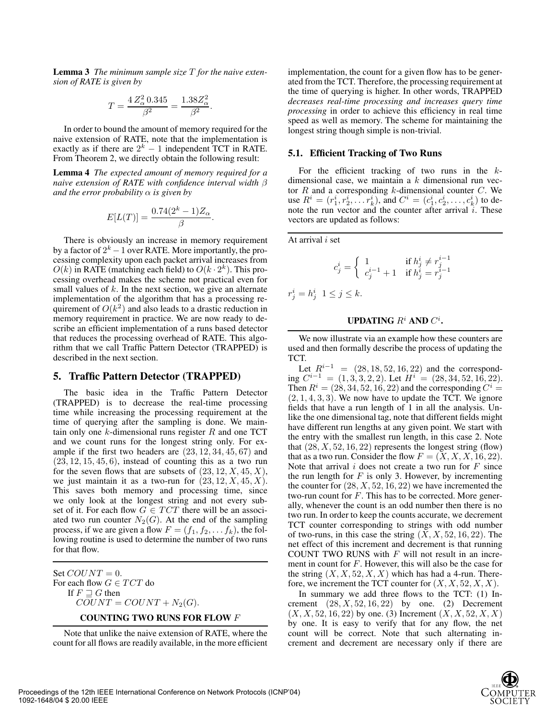**Lemma 3** *The minimum sample size* T *for the naive extension of RATE is given by*

$$
T = \frac{4 Z_{\alpha}^2 0.345}{\beta^2} = \frac{1.38 Z_{\alpha}^2}{\beta^2}.
$$

In order to bound the amount of memory required for the naive extension of RATE, note that the implementation is exactly as if there are  $2^k - 1$  independent TCT in RATE. From Theorem 2, we directly obtain the following result:

**Lemma 4** *The expected amount of memory required for a naive extension of RATE with confidence interval width* β *and the error probability*  $\alpha$  *is given by* 

$$
E[L(T)] = \frac{0.74(2^{k} - 1)Z_{\alpha}}{\beta}.
$$

There is obviously an increase in memory requirement by a factor of  $2^k - 1$  over RATE. More importantly, the processing complexity upon each packet arrival increases from  $O(k)$  in RATE (matching each field) to  $O(k \cdot 2^k)$ . This processing overhead makes the scheme not practical even for small values of  $k$ . In the next section, we give an alternate implementation of the algorithm that has a processing requirement of  $O(k^2)$  and also leads to a drastic reduction in memory requirement in practice. We are now ready to describe an efficient implementation of a runs based detector that reduces the processing overhead of RATE. This algorithm that we call Traffic Pattern Detector (TRAPPED) is described in the next section.

## **5. Traffic Pattern Detector (TRAPPED)**

The basic idea in the Traffic Pattern Detector (TRAPPED) is to decrease the real-time processing time while increasing the processing requirement at the time of querying after the sampling is done. We maintain only one  $k$ -dimensional runs register  $R$  and one TCT and we count runs for the longest string only. For example if the first two headers are  $(23, 12, 34, 45, 67)$  and  $(23, 12, 15, 45, 6)$ , instead of counting this as a two run for the seven flows that are subsets of  $(23, 12, X, 45, X)$ , we just maintain it as a two-run for  $(23, 12, X, 45, X)$ . This saves both memory and processing time, since we only look at the longest string and not every subset of it. For each flow  $G \in TCT$  there will be an associated two run counter  $N_2(G)$ . At the end of the sampling process, if we are given a flow  $F = (f_1, f_2, \dots, f_k)$ , the following routine is used to determine the number of two runs for that flow.

Set  $COUNT = 0$ . For each flow  $G\in TCT$  do If  $F \sqsupseteq G$  then  $COUNT = COUNT + N_2(G)$ .

#### **COUNTING TWO RUNS FOR FLOW** F

Note that unlike the naive extension of RATE, where the count for all flows are readily available, in the more efficient implementation, the count for a given flow has to be generated from the TCT. Therefore, the processing requirement at the time of querying is higher. In other words, TRAPPED *decreases real-time processing and increases query time processing* in order to achieve this efficiency in real time speed as well as memory. The scheme for maintaining the longest string though simple is non-trivial.

#### **5.1. Efficient Tracking of Two Runs**

For the efficient tracking of two runs in the  $k$ dimensional case, we maintain a  $k$  dimensional run vector  $R$  and a corresponding  $k$ -dimensional counter  $C$ . We tor R and a corresponding k-dimensional counter C. We use  $R^i = (r_1^i, r_2^i, \ldots, r_k^i)$ , and  $C^i = (c_1^i, c_2^i, \ldots, c_k^i)$  to denote the run vector and the counter after arrival i These note the run vector and the counter after arrival  $i$ . These vectors are updated as follows:

At arrival  $i$  set

$$
c_j^i = \begin{cases} 1 & \text{if } h_j^i \neq r_j^{i-1} \\ c_j^{i-1} + 1 & \text{if } h_j^i = r_j^{i-1} \end{cases}
$$

 $r_j^i = h_j^i \ \ 1 \leq j \leq k.$ 

# **UPDATING**  $R^i$  **AND**  $C^i$ .

We now illustrate via an example how these counters are used and then formally describe the process of updating the TCT.

Let  $R^{i-1} = (28, 18, 52, 16, 22)$  and the corresponding  $C^{i-1} = (1, 3, 3, 2, 2)$ . Let  $H^{i} = (28, 34, 52, 16, 22)$ . Then  $R^i = (28, 34, 52, 16, 22)$  and the corresponding  $C^i = (2, 1, 4, 3, 3)$ . We now have to update the TCT. We ignore (2, <sup>1</sup>, <sup>4</sup>, <sup>3</sup>, 3). We now have to update the TCT. We ignore fields that have a run length of 1 in all the analysis. Unlike the one dimensional tag, note that different fields might have different run lengths at any given point. We start with the entry with the smallest run length, in this case 2. Note that  $(28, X, 52, 16, 22)$  represents the longest string (flow) that as a two run. Consider the flow  $F = (X, X, X, 16, 22)$ . Note that arrival  $i$  does not create a two run for  $F$  since the run length for  $F$  is only 3. However, by incrementing the counter for  $(28, X, 52, 16, 22)$  we have incremented the two-run count for  $F$ . This has to be corrected. More generally, whenever the count is an odd number then there is no two run. In order to keep the counts accurate, we decrement TCT counter corresponding to strings with odd number of two-runs, in this case the string  $(X, X, 52, 16, 22)$ . The net effect of this increment and decrement is that running COUNT TWO RUNS with  $F$  will not result in an increment in count for  $F$ . However, this will also be the case for the string  $(X, X, 52, X, X)$  which has had a 4-run. Therefore, we increment the TCT counter for  $(X, X, 52, X, X)$ .

In summary we add three flows to the TCT: (1) Increment  $(28, X, 52, 16, 22)$  by one. (2) Decrement  $(X, X, 52, 16, 22)$  by one. (3) Increment  $(X, X, 52, X, X)$ by one. It is easy to verify that for any flow, the net count will be correct. Note that such alternating increment and decrement are necessary only if there are

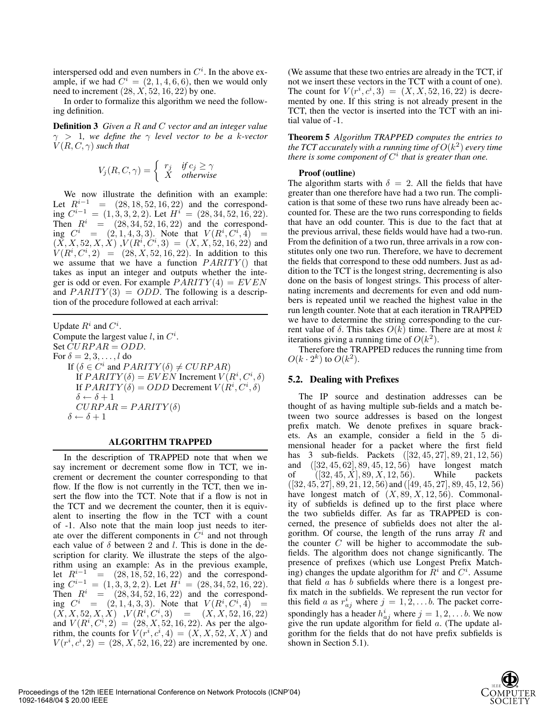interspersed odd and even numbers in  $C^i$ . In the above example, if we had  $C^i = (2 \ 1 \ 4 \ 6 \ 6)$  then we would only ample, if we had  $C^i = (2, 1, 4, 6, 6)$ , then we would only need to increment  $(28, X, 52, 16, 22)$  by one.

In order to formalize this algorithm we need the following definition.

**Definition 3** *Given a* R *and* C *vector and an integer value* γ > <sup>1</sup>*, we define the* γ *level vector to be a* k*-vector*  $V(R, C, \gamma)$  *such that* 

$$
V_j(R, C, \gamma) = \begin{cases} r_j & \text{if } c_j \ge \gamma \\ X & \text{otherwise} \end{cases}
$$

We now illustrate the definition with an example: Let  $R^{i-1}$  =  $(28, 18, 52, 16, 22)$  and the corresponding  $C^{i-1} = (1, 3, 3, 2, 2)$ . Let  $H^i = (28, 34, 52, 16, 22)$ . Then  $R^i = (28, 34, 52, 16, 22)$  and the corresponding  $C^i = (2, 1, 4, 3, 3)$ . Note that  $V(R^i, C^i, 4) = (X, X, 52, X, X)$ ,  $V(R^i, C^i, 3) = (X, X, 52, 16, 22)$  and  $(\overline{X}, \overline{X}, 52, X, \overline{X})$ ,  $V(R^i, C^i, 3) = (X, \overline{X}, 52, 16, 22)$  and  $V(R^i, C^i, 2) = (28, X, 52, 16, 22)$ . In addition to this  $V(R^i,C^i,2) = (28, X, 52, 16, 22)$ . In addition to this we assume that we have a function  $PARTY()$  that we assume that we have a function  $PARITY()$  that takes as input an integer and outputs whether the integer is odd or even. For example  $PARITY(4) = EVEN$ and  $PARITY(3) = ODD$ . The following is a description of the procedure followed at each arrival:

Update  $R^i$  and  $C^i$ .<br>Compute the larges Compute the largest value *l*, in  $C^i$ .<br>Set  $CURPAR = ODD$ . Set  $CURPAR = ODD$ . For  $\delta = 2, 3, \ldots, l$  do If  $(\delta \in C^i$  and  $PARITY(\delta) \neq CURPAR)$ <br>
If  $PARITY(\delta) = EVEN$  Increment  $V(\delta)$ If  $PARITY(\delta) = EVEN$  Increment  $V(R^i, C^i, \delta)$ <br>If  $PARTY(\delta) = ODD$  Decrement  $V(R^i, C^i, \delta)$ If  $PARITY(\delta) = ODD$  Decrement  $V(R^i, C^i, \delta)$ <br> $\delta \leftarrow \delta + 1$  $\delta \leftarrow \delta + 1$  $CURPAR = PARTY(\delta)$  $\delta \leftarrow \delta + 1$ 

#### **ALGORITHM TRAPPED**

In the description of TRAPPED note that when we say increment or decrement some flow in TCT, we increment or decrement the counter corresponding to that flow. If the flow is not currently in the TCT, then we insert the flow into the TCT. Note that if a flow is not in the TCT and we decrement the counter, then it is equivalent to inserting the flow in the TCT with a count of -1. Also note that the main loop just needs to iterate over the different components in  $C<sup>i</sup>$  and not through each value of  $\delta$  between 2 and l. This is done in the description for clarity. We illustrate the steps of the algorithm using an example: As in the previous example, let  $R^{i-1}$  = (28, 18, 52, 16, 22) and the corresponding  $C^{i-1} = (1, 3, 3, 2, 2)$ . Let  $H^i = (28, 34, 52, 16, 22)$ . Then  $R^i$  =  $(28, 34, 52, 16, 22)$  and the corresponding  $C^i = (2, 1, 4, 3, 3)$ . Note that  $V(R^i, C^i, 4) = (X \times 52 \times X) V(R^i, C^i, 3) = (X \times 52 \times 16 \times 22)$  $(\overline{X}, \overline{X}, 52, \overline{X}, \overline{X})$ ,  $V(R^i, C^i, 3) = (X, \overline{X}, 52, 16, 22)$ <br>and  $V(R^i, C^i, 2) = (28 \times 52, 16, 22)$ . As per the algoand  $V(R^i, C^i, 2) = (28, X, 52, 16, 22)$ . As per the algo-<br>rithm, the counts for  $V(r^i, c^i, 4) = (X, X, 52, X, X)$  and rithm, the counts for  $V(r^{i}, c^{i}, 4) = (X, X, 52, X, X)$  and  $V(r^{i}, c^{i}, 2) = (28, X, 52, 16, 22)$  are incremented by one.  $V(r^i, c^i, 2) = (28, X, 52, 16, 22)$  are incremented by one.

(We assume that these two entries are already in the TCT, if not we insert these vectors in the TCT with a count of one). The count for  $V(r^i, c^i, 3) = (X, X, 52, 16, 22)$  is decre-<br>mented by one. If this string is not already present in the mented by one. If this string is not already present in the TCT, then the vector is inserted into the TCT with an initial value of -1.

**Theorem 5** *Algorithm TRAPPED computes the entries to the TCT accurately with a running time of*  $O(k^2)$  *every time there is some component of*  $C<sup>i</sup>$  *that is greater than one.* 

#### **Proof (outline)**

The algorithm starts with  $\delta = 2$ . All the fields that have greater than one therefore have had a two run. The complication is that some of these two runs have already been accounted for. These are the two runs corresponding to fields that have an odd counter. This is due to the fact that at the previous arrival, these fields would have had a two-run. From the definition of a two run, three arrivals in a row constitutes only one two run. Therefore, we have to decrement the fields that correspond to these odd numbers. Just as addition to the TCT is the longest string, decrementing is also done on the basis of longest strings. This process of alternating increments and decrements for even and odd numbers is repeated until we reached the highest value in the run length counter. Note that at each iteration in TRAPPED we have to determine the string corresponding to the current value of  $\delta$ . This takes  $O(k)$  time. There are at most k iterations giving a running time of  $O(k^2)$ .

Therefore the TRAPPED reduces the running time from  $O(k \cdot 2^k)$  to  $O(k^2)$ .

## **5.2. Dealing with Prefixes**

The IP source and destination addresses can be thought of as having multiple sub-fields and a match between two source addresses is based on the longest prefix match. We denote prefixes in square brackets. As an example, consider a field in the 5 dimensional header for a packet where the first field has 3 sub-fields. Packets ([32, <sup>45</sup>, 27], <sup>89</sup>, <sup>21</sup>, <sup>12</sup>, 56) and  $([32, 45, 62], 89, 45, 12, 56)$  have longest match of  $([32, 45, X], 89, X, 12, 56)$ . While packets of  $([32, 45, X], 89, X, 12, 56)$ . While packets<br>([32, 45, 27], 89, 21, 12, 56) and ([49, 45, 27], 89, 45, 12, 56)  $([32, 45, 27], 89, 21, 12, 56)$  and  $([49, 45, 27], 89, 45, 12, 56)$ <br>have longest match of  $(X, 89, X, 12, 56)$ . Commonalhave longest match of  $(X, 89, X, 12, 56)$ . Commonality of subfields is defined up to the first place where the two subfields differ. As far as TRAPPED is concerned, the presence of subfields does not alter the algorithm. Of course, the length of the runs array  $R$  and the counter  $C$  will be higher to accommodate the subfields. The algorithm does not change significantly. The presence of prefixes (which use Longest Prefix Matching) changes the update algorithm for  $R^i$  and  $C^i$ . Assume that field a has b subfields where there is a longest prethat field  $\alpha$  has  $\beta$  subfields where there is a longest prefix match in the subfields. We represent the run vector for this field a as  $r_{aj}^{i}$  where  $j = 1, 2, \ldots, b$ . The packet corre-<br>coordingly has a hadden  $h^{i}$ , where  $j = 1, 2, \ldots, b$ . We now spondingly has a header  $h_{aj}^i$  where  $j = 1, 2, \ldots, b$ . We now give the run undate algorithm for field a. (The undate algorithm give the run update algorithm for field a. (The update algorithm for the fields that do not have prefix subfields is shown in Section 5.1).

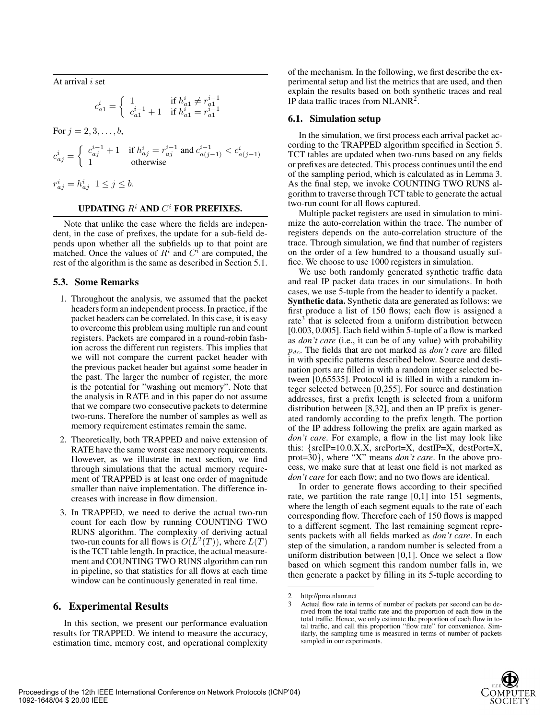At arrival i set

$$
c_{a1}^i = \begin{cases} 1 & \text{if } h_{a1}^i \neq r_{a1}^{i-1} \\ c_{a1}^{i-1} + 1 & \text{if } h_{a1}^i = r_{a1}^{i-1} \end{cases}
$$

For  $j = 2, 3, ..., b$ ,

$$
c_{aj}^i=\left\{\begin{array}{ll} c_{aj}^{i-1}+1 & \text{if } h_{aj}^i=r_{aj}^{i-1} \text{ and } c_{a(j-1)}^{i-1}
$$

$$
r_{aj}^i = h_{aj}^i \ \ 1 \le j \le b.
$$

## **UPDATING** <sup>R</sup><sup>i</sup> **AND** C<sup>i</sup> **FOR PREFIXES.**

Note that unlike the case where the fields are independent, in the case of prefixes, the update for a sub-field depends upon whether all the subfields up to that point are matched. Once the values of  $R<sup>i</sup>$  and  $C<sup>i</sup>$  are computed, the rest of the algorithm is the same as described in Section 5.1.

#### **5.3. Some Remarks**

- 1. Throughout the analysis, we assumed that the packet headers form an independent process. In practice, if the packet headers can be correlated. In this case, it is easy to overcome this problem using multiple run and count registers. Packets are compared in a round-robin fashion across the different run registers. This implies that we will not compare the current packet header with the previous packet header but against some header in the past. The larger the number of register, the more is the potential for "washing out memory". Note that the analysis in RATE and in this paper do not assume that we compare two consecutive packets to determine two-runs. Therefore the number of samples as well as memory requirement estimates remain the same.
- 2. Theoretically, both TRAPPED and naive extension of RATE have the same worst case memory requirements. However, as we illustrate in next section, we find through simulations that the actual memory requirement of TRAPPED is at least one order of magnitude smaller than naive implementation. The difference increases with increase in flow dimension.
- 3. In TRAPPED, we need to derive the actual two-run count for each flow by running COUNTING TWO RUNS algorithm. The complexity of deriving actual two-run counts for all flows is  $O(L^2(T))$ , where  $L(T)$ is the TCT table length. In practice, the actual measurement and COUNTING TWO RUNS algorithm can run in pipeline, so that statistics for all flows at each time window can be continuously generated in real time.

## **6. Experimental Results**

In this section, we present our performance evaluation results for TRAPPED. We intend to measure the accuracy, estimation time, memory cost, and operational complexity of the mechanism. In the following, we first describe the experimental setup and list the metrics that are used, and then explain the results based on both synthetic traces and real IP data traffic traces from NLANR2.

#### **6.1. Simulation setup**

In the simulation, we first process each arrival packet according to the TRAPPED algorithm specified in Section 5. TCT tables are updated when two-runs based on any fields or prefixes are detected. This process continues until the end of the sampling period, which is calculated as in Lemma 3. As the final step, we invoke COUNTING TWO RUNS algorithm to traverse through TCT table to generate the actual two-run count for all flows captured.

Multiple packet registers are used in simulation to minimize the auto-correlation within the trace. The number of registers depends on the auto-correlation structure of the trace. Through simulation, we find that number of registers on the order of a few hundred to a thousand usually suffice. We choose to use 1000 registers in simulation.

We use both randomly generated synthetic traffic data and real IP packet data traces in our simulations. In both cases, we use 5-tuple from the header to identify a packet. **Synthetic data.** Synthetic data are generated as follows: we first produce a list of 150 flows; each flow is assigned a rate<sup>3</sup> that is selected from a uniform distribution between [0.003, 0.005]. Each field within 5-tuple of a flow is marked as *don't care* (i.e., it can be of any value) with probability <sup>p</sup>dc. The fields that are not marked as *don't care* are filled in with specific patterns described below. Source and destination ports are filled in with a random integer selected between [0,65535]. Protocol id is filled in with a random integer selected between [0,255]. For source and destination addresses, first a prefix length is selected from a uniform distribution between [8,32], and then an IP prefix is generated randomly according to the prefix length. The portion of the IP address following the prefix are again marked as *don't care*. For example, a flow in the list may look like this: {srcIP=10.0.X.X, srcPort=X, destIP=X, destPort=X, prot=30}, where "X" means *don't care*. In the above process, we make sure that at least one field is not marked as *don't care* for each flow; and no two flows are identical.

In order to generate flows according to their specified rate, we partition the rate range [0,1] into 151 segments, where the length of each segment equals to the rate of each corresponding flow. Therefore each of 150 flows is mapped to a different segment. The last remaining segment represents packets with all fields marked as *don't care*. In each step of the simulation, a random number is selected from a uniform distribution between [0,1]. Once we select a flow based on which segment this random number falls in, we then generate a packet by filling in its 5-tuple according to

<sup>2</sup> http://pma.nlanr.net<br>3 Actual flow rate in t

Actual flow rate in terms of number of packets per second can be derived from the total traffic rate and the proportion of each flow in the total traffic. Hence, we only estimate the proportion of each flow in total traffic, and call this proportion "flow rate" for convenience. Similarly, the sampling time is measured in terms of number of packets sampled in our experiments.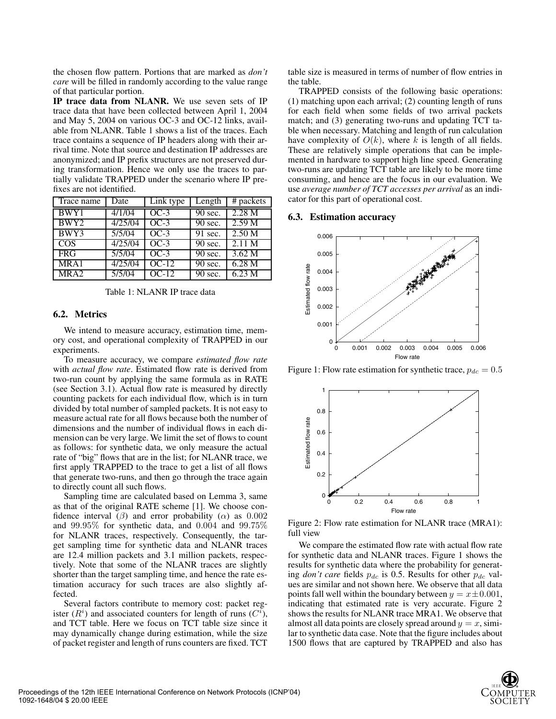the chosen flow pattern. Portions that are marked as *don't care* will be filled in randomly according to the value range of that particular portion.

**IP trace data from NLANR.** We use seven sets of IP trace data that have been collected between April 1, 2004 and May 5, 2004 on various OC-3 and OC-12 links, available from NLANR. Table 1 shows a list of the traces. Each trace contains a sequence of IP headers along with their arrival time. Note that source and destination IP addresses are anonymized; and IP prefix structures are not preserved during transformation. Hence we only use the traces to partially validate TRAPPED under the scenario where IP prefixes are not identified.

| Trace name              | Date               | Link type | Length               | # packets         |
|-------------------------|--------------------|-----------|----------------------|-------------------|
| BWY1                    | 4/1/04             | $OC-3$    | $\overline{90}$ sec. | 2.28 <sub>M</sub> |
| BWY <sub>2</sub>        | 4/25/04            | $OC-3$    | 90 sec.              | 2.59 M            |
| BWY3                    | 5/5/04             | $OC-3$    | 91 sec.              | 2.50 <sub>M</sub> |
| $\overline{\text{COS}}$ | $\frac{1}{225/04}$ | $OC-3$    | 90 sec.              | 2.11 M            |
| <b>FRG</b>              | 5/5/04             | $OC-3$    | 90 sec.              | 3.62 M            |
| MRA1                    | 4/25/04            | $OC-12$   | 90 sec.              | 6.28 <sub>M</sub> |
| MRA <sub>2</sub>        | 5/5/04             | $OC-12$   | 90 sec.              | 6.23 M            |

Table 1: NLANR IP trace data

## **6.2. Metrics**

We intend to measure accuracy, estimation time, memory cost, and operational complexity of TRAPPED in our experiments.

To measure accuracy, we compare *estimated flow rate* with *actual flow rate*. Estimated flow rate is derived from two-run count by applying the same formula as in RATE (see Section 3.1). Actual flow rate is measured by directly counting packets for each individual flow, which is in turn divided by total number of sampled packets. It is not easy to measure actual rate for all flows because both the number of dimensions and the number of individual flows in each dimension can be very large. We limit the set of flows to count as follows: for synthetic data, we only measure the actual rate of "big" flows that are in the list; for NLANR trace, we first apply TRAPPED to the trace to get a list of all flows that generate two-runs, and then go through the trace again to directly count all such flows.

Sampling time are calculated based on Lemma 3, same as that of the original RATE scheme [1]. We choose confidence interval ( $\beta$ ) and error probability ( $\alpha$ ) as 0.002 and <sup>99</sup>.95% for synthetic data, and <sup>0</sup>.<sup>004</sup> and <sup>99</sup>.75% for NLANR traces, respectively. Consequently, the target sampling time for synthetic data and NLANR traces are 12.4 million packets and 3.1 million packets, respectively. Note that some of the NLANR traces are slightly shorter than the target sampling time, and hence the rate estimation accuracy for such traces are also slightly affected.

Several factors contribute to memory cost: packet register  $(R<sup>i</sup>)$  and associated counters for length of runs  $(C<sup>i</sup>)$ , and TCT table. Here we focus on TCT table size since it and TCT table. Here we focus on TCT table size since it may dynamically change during estimation, while the size of packet register and length of runs counters are fixed. TCT

table size is measured in terms of number of flow entries in the table.

TRAPPED consists of the following basic operations: (1) matching upon each arrival; (2) counting length of runs for each field when some fields of two arrival packets match; and (3) generating two-runs and updating TCT table when necessary. Matching and length of run calculation have complexity of  $O(k)$ , where k is length of all fields. These are relatively simple operations that can be implemented in hardware to support high line speed. Generating two-runs are updating TCT table are likely to be more time consuming, and hence are the focus in our evaluation. We use *average number of TCT accesses per arrival* as an indicator for this part of operational cost.

#### **6.3. Estimation accuracy**



Figure 1: Flow rate estimation for synthetic trace,  $p_{dc} = 0.5$ 



Figure 2: Flow rate estimation for NLANR trace (MRA1): full view

We compare the estimated flow rate with actual flow rate for synthetic data and NLANR traces. Figure 1 shows the results for synthetic data where the probability for generating *don't care* fields  $p_{dc}$  is 0.5. Results for other  $p_{dc}$  values are similar and not shown here. We observe that all data points fall well within the boundary between  $y = x \pm 0.001$ , indicating that estimated rate is very accurate. Figure 2 shows the results for NLANR trace MRA1. We observe that almost all data points are closely spread around  $y = x$ , similar to synthetic data case. Note that the figure includes about 1500 flows that are captured by TRAPPED and also has

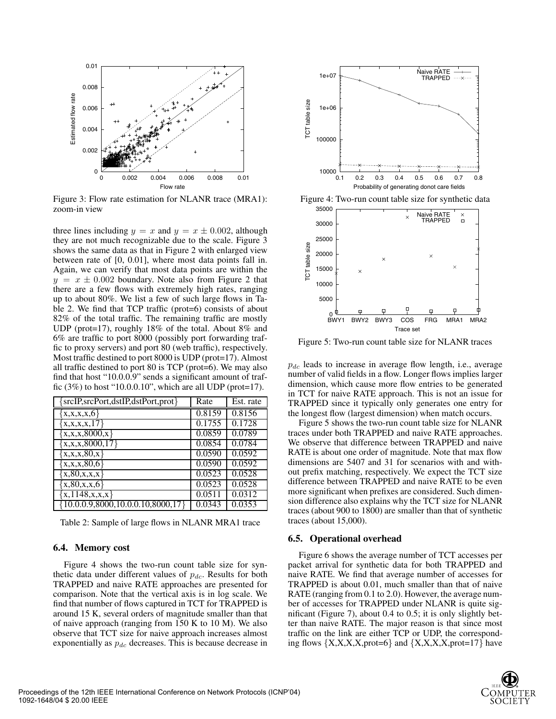

Figure 3: Flow rate estimation for NLANR trace (MRA1): zoom-in view

three lines including  $y = x$  and  $y = x \pm 0.002$ , although they are not much recognizable due to the scale. Figure 3 shows the same data as that in Figure 2 with enlarged view between rate of [0, 0.01], where most data points fall in. Again, we can verify that most data points are within the  $y = x \pm 0.002$  boundary. Note also from Figure 2 that there are a few flows with extremely high rates, ranging up to about 80%. We list a few of such large flows in Table 2. We find that TCP traffic (prot=6) consists of about 82% of the total traffic. The remaining traffic are mostly UDP (prot=17), roughly 18% of the total. About 8% and 6% are traffic to port 8000 (possibly port forwarding traffic to proxy servers) and port 80 (web traffic), respectively. Most traffic destined to port 8000 is UDP (prot=17). Almost all traffic destined to port 80 is TCP (prot=6). We may also find that host "10.0.0.9" sends a significant amount of traffic (3%) to host "10.0.0.10", which are all UDP (prot=17).

| [srcIP,srcPort,dstIP,dstPort,prot} | Rate   | Est. rate |
|------------------------------------|--------|-----------|
| x, x, x, x, 6                      | 0.8159 | 0.8156    |
| x, x, x, x, 17                     | 0.1755 | 0.1728    |
| x, x, x, 8000, x                   | 0.0859 | 0.0789    |
| x, x, x, 8000, 17                  | 0.0854 | 0.0784    |
| x, x, x, 80, x                     | 0.0590 | 0.0592    |
| x, x, x, 80, 6                     | 0.0590 | 0.0592    |
| x, 80, x, x, x                     | 0.0523 | 0.0528    |
| x, 80, x, x, 6                     | 0.0523 | 0.0528    |
| x,1148,x,x,x                       | 0.0511 | 0.0312    |
| 10.0.0.9,8000,10.0.0.10,8000,17    | 0.0343 | 0.0353    |

Table 2: Sample of large flows in NLANR MRA1 trace

#### **6.4. Memory cost**

Figure 4 shows the two-run count table size for synthetic data under different values of  $p_{dc}$ . Results for both TRAPPED and naive RATE approaches are presented for comparison. Note that the vertical axis is in log scale. We find that number of flows captured in TCT for TRAPPED is around 15 K, several orders of magnitude smaller than that of naive approach (ranging from 150 K to 10 M). We also observe that TCT size for naive approach increases almost exponentially as  $p_{dc}$  decreases. This is because decrease in



Figure 4: Two-run count table size for synthetic data



Figure 5: Two-run count table size for NLANR traces

 $p_{dc}$  leads to increase in average flow length, i.e., average number of valid fields in a flow. Longer flows implies larger dimension, which cause more flow entries to be generated in TCT for naive RATE approach. This is not an issue for TRAPPED since it typically only generates one entry for the longest flow (largest dimension) when match occurs.

Figure 5 shows the two-run count table size for NLANR traces under both TRAPPED and naive RATE approaches. We observe that difference between TRAPPED and naive RATE is about one order of magnitude. Note that max flow dimensions are 5407 and 31 for scenarios with and without prefix matching, respectively. We expect the TCT size difference between TRAPPED and naive RATE to be even more significant when prefixes are considered. Such dimension difference also explains why the TCT size for NLANR traces (about 900 to 1800) are smaller than that of synthetic traces (about 15,000).

#### **6.5. Operational overhead**

Figure 6 shows the average number of TCT accesses per packet arrival for synthetic data for both TRAPPED and naive RATE. We find that average number of accesses for TRAPPED is about 0.01, much smaller than that of naive RATE (ranging from 0.1 to 2.0). However, the average number of accesses for TRAPPED under NLANR is quite significant (Figure 7), about 0.4 to 0.5; it is only slightly better than naive RATE. The major reason is that since most traffic on the link are either TCP or UDP, the corresponding flows  $\{X, X, X, X, \text{prot}=6\}$  and  $\{X, X, X, X, \text{prot}=17\}$  have